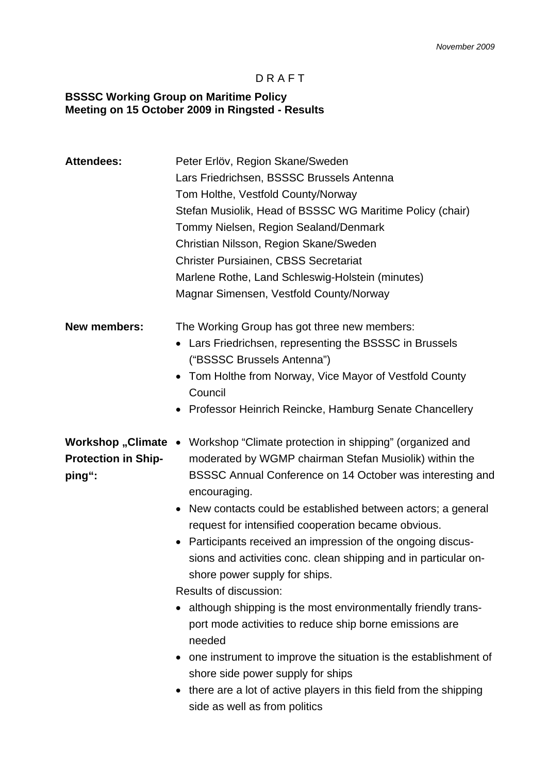### D R A F T

#### **BSSSC Working Group on Maritime Policy Meeting on 15 October 2009 in Ringsted - Results**

| <b>Attendees:</b>                                           | Peter Erlöv, Region Skane/Sweden<br>Lars Friedrichsen, BSSSC Brussels Antenna<br>Tom Holthe, Vestfold County/Norway<br>Stefan Musiolik, Head of BSSSC WG Maritime Policy (chair)<br>Tommy Nielsen, Region Sealand/Denmark<br>Christian Nilsson, Region Skane/Sweden<br><b>Christer Pursiainen, CBSS Secretariat</b><br>Marlene Rothe, Land Schleswig-Holstein (minutes)<br>Magnar Simensen, Vestfold County/Norway                                                                                                                                                                                                                                                                                                                                                                                                                                                                 |
|-------------------------------------------------------------|------------------------------------------------------------------------------------------------------------------------------------------------------------------------------------------------------------------------------------------------------------------------------------------------------------------------------------------------------------------------------------------------------------------------------------------------------------------------------------------------------------------------------------------------------------------------------------------------------------------------------------------------------------------------------------------------------------------------------------------------------------------------------------------------------------------------------------------------------------------------------------|
| <b>New members:</b>                                         | The Working Group has got three new members:<br>Lars Friedrichsen, representing the BSSSC in Brussels<br>$\bullet$<br>("BSSSC Brussels Antenna")<br>• Tom Holthe from Norway, Vice Mayor of Vestfold County<br>Council<br>• Professor Heinrich Reincke, Hamburg Senate Chancellery                                                                                                                                                                                                                                                                                                                                                                                                                                                                                                                                                                                                 |
| Workshop "Climate •<br><b>Protection in Ship-</b><br>ping": | Workshop "Climate protection in shipping" (organized and<br>moderated by WGMP chairman Stefan Musiolik) within the<br>BSSSC Annual Conference on 14 October was interesting and<br>encouraging.<br>New contacts could be established between actors; a general<br>$\bullet$<br>request for intensified cooperation became obvious.<br>Participants received an impression of the ongoing discus-<br>sions and activities conc. clean shipping and in particular on-<br>shore power supply for ships.<br>Results of discussion:<br>although shipping is the most environmentally friendly trans-<br>port mode activities to reduce ship borne emissions are<br>needed<br>one instrument to improve the situation is the establishment of<br>shore side power supply for ships<br>there are a lot of active players in this field from the shipping<br>side as well as from politics |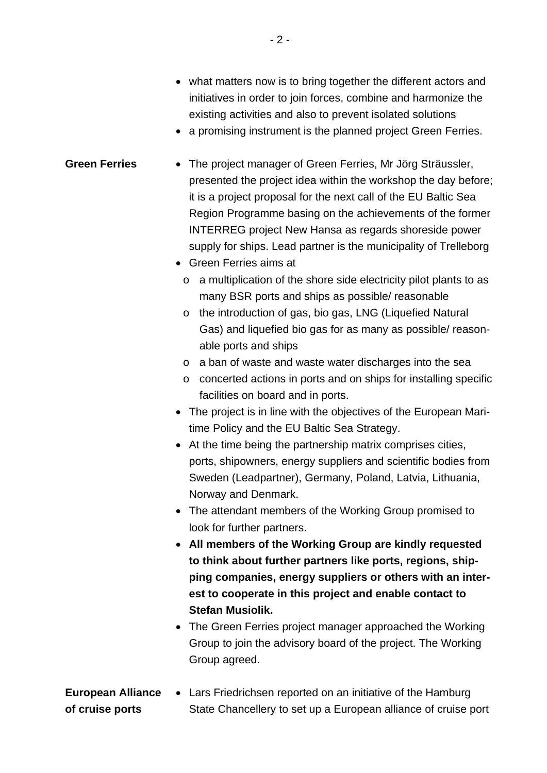- what matters now is to bring together the different actors and initiatives in order to join forces, combine and harmonize the existing activities and also to prevent isolated solutions
- a promising instrument is the planned project Green Ferries.

# **Green Ferries** • The project manager of Green Ferries, Mr Jörg Sträussler, presented the project idea within the workshop the day before; it is a project proposal for the next call of the EU Baltic Sea Region Programme basing on the achievements of the former INTERREG project New Hansa as regards shoreside power supply for ships. Lead partner is the municipality of Trelleborg

- Green Ferries aims at
	- o a multiplication of the shore side electricity pilot plants to as many BSR ports and ships as possible/ reasonable
	- o the introduction of gas, bio gas, LNG (Liquefied Natural Gas) and liquefied bio gas for as many as possible/ reasonable ports and ships
	- o a ban of waste and waste water discharges into the sea
	- o concerted actions in ports and on ships for installing specific facilities on board and in ports.
- The project is in line with the objectives of the European Maritime Policy and the EU Baltic Sea Strategy.
- At the time being the partnership matrix comprises cities, ports, shipowners, energy suppliers and scientific bodies from Sweden (Leadpartner), Germany, Poland, Latvia, Lithuania, Norway and Denmark.
- The attendant members of the Working Group promised to look for further partners.
- **All members of the Working Group are kindly requested to think about further partners like ports, regions, shipping companies, energy suppliers or others with an interest to cooperate in this project and enable contact to Stefan Musiolik.**
- The Green Ferries project manager approached the Working Group to join the advisory board of the project. The Working Group agreed.

#### **European Alliance of cruise ports**  Lars Friedrichsen reported on an initiative of the Hamburg State Chancellery to set up a European alliance of cruise port